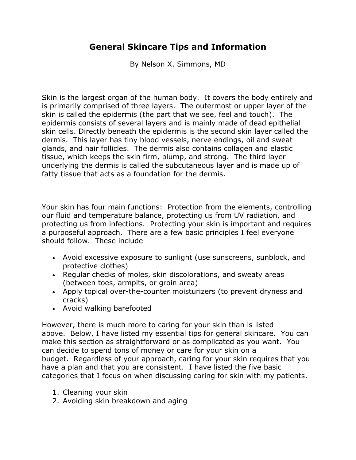## **General Skincare Tips and Information**

By Nelson X. Simmons, MD

Skin is the largest organ of the human body. It covers the body entirely and is primarily comprised of three layers. The outermost or upper layer of the skin is called the epidermis (the part that we see, feel and touch). The epidermis consists of several layers and is mainly made of dead epithelial skin cells. Directly beneath the epidermis is the second skin layer called the dermis. This layer has tiny blood vessels, nerve endings, oil and sweat glands, and hair follicles. The dermis also contains collagen and elastic tissue, which keeps the skin firm, plump, and strong. The third layer underlying the dermis is called the subcutaneous layer and is made up of fatty tissue that acts as a foundation for the dermis.

Your skin has four main functions: Protection from the elements, controlling our fluid and temperature balance, protecting us from UV radiation, and protecting us from infections. Protecting your skin is important and requires a purposeful approach. There are a few basic principles I feel everyone should follow. These include

- Avoid excessive exposure to sunlight (use sunscreens, sunblock, and protective clothes)
- Regular checks of moles, skin discolorations, and sweaty areas (between toes, armpits, or groin area)
- Apply topical over-the-counter moisturizers (to prevent dryness and cracks)
- Avoid walking barefooted

However, there is much more to caring for your skin than is listed above. Below, I have listed my essential tips for general skincare. You can make this section as straightforward or as complicated as you want. You can decide to spend tons of money or care for your skin on a budget. Regardless of your approach, caring for your skin requires that you have a plan and that you are consistent. I have listed the five basic categories that I focus on when discussing caring for skin with my patients.

- 1. Cleaning your skin
- 2. Avoiding skin breakdown and aging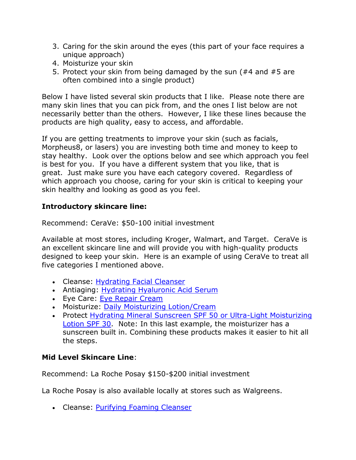- 3. Caring for the skin around the eyes (this part of your face requires a unique approach)
- 4. Moisturize your skin
- 5. Protect your skin from being damaged by the sun (#4 and #5 are often combined into a single product)

Below I have listed several skin products that I like. Please note there are many skin lines that you can pick from, and the ones I list below are not necessarily better than the others. However, I like these lines because the products are high quality, easy to access, and affordable.

If you are getting treatments to improve your skin (such as facials, Morpheus8, or lasers) you are investing both time and money to keep to stay healthy. Look over the options below and see which approach you feel is best for you. If you have a different system that you like, that is great. Just make sure you have each category covered. Regardless of which approach you choose, caring for your skin is critical to keeping your skin healthy and looking as good as you feel.

## **Introductory skincare line:**

Recommend: CeraVe: \$50-100 initial investment

Available at most stores, including Kroger, Walmart, and Target. CeraVe is an excellent skincare line and will provide you with high-quality products designed to keep your skin. Here is an example of using CeraVe to treat all five categories I mentioned above.

- Cleanse: [Hydrating Facial Cleanser](https://www.cerave.com/skincare/cleansers/hydrating-facial-cleanser)
- Antiaging: [Hydrating Hyaluronic Acid Serum](https://www.cerave.com/skincare/serums/hydrating-hyaluronic-acid-serum)
- Eye Care: [Eye Repair Cream](https://www.cerave.com/skincare/moisturizers/eye-repair-cream)
- Moisturize: [Daily Moisturizing Lotion/Cream](https://www.cerave.com/skincare/moisturizers/daily-moisturizing-lotion)
- Protect [Hydrating Mineral Sunscreen SPF 50 or Ultra-Light Moisturizing](https://www.cerave.com/sunscreen/body/hydrating-mineral-sunscreen-body-lotion-spf-50)  [Lotion SPF 30.](https://www.cerave.com/sunscreen/body/hydrating-mineral-sunscreen-body-lotion-spf-50) Note: In this last example, the moisturizer has a sunscreen built in. Combining these products makes it easier to hit all the steps.

## **Mid Level Skincare Line**:

Recommend: La Roche Posay \$150-\$200 initial investment

La Roche Posay is also available locally at stores such as Walgreens.

• Cleanse: [Purifying Foaming Cleanser](https://www.laroche-posay.us/our-products/face/face-wash/toleriane-purifying-foaming-facial-wash-tolerianepurifyingfoamingfacialwash.html)